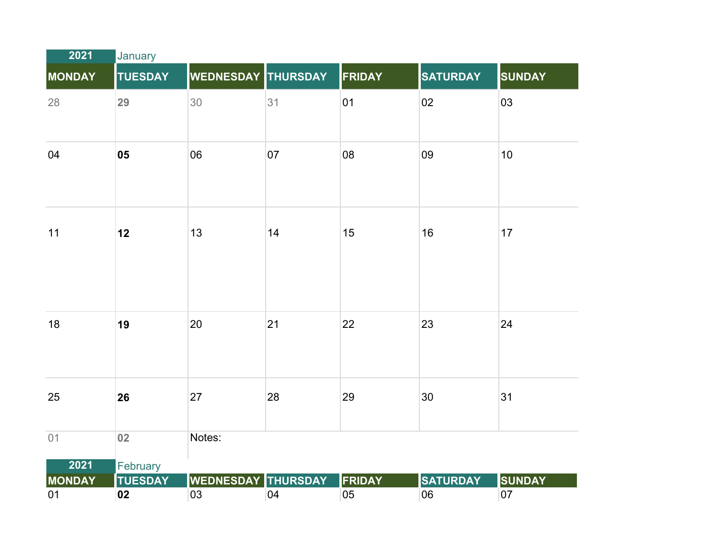| 2021          | January        |                           |    |               |                 |               |  |
|---------------|----------------|---------------------------|----|---------------|-----------------|---------------|--|
| <b>MONDAY</b> | <b>TUESDAY</b> | <b>WEDNESDAY THURSDAY</b> |    | FRIDAY        | <b>SATURDAY</b> | <b>SUNDAY</b> |  |
| 28            | 29             | 30                        | 31 | 01            | 02              | 03            |  |
| 04            | 05             | 06                        | 07 | 08            | 09              | 10            |  |
| 11            | 12             | 13                        | 14 | 15            | 16              | 17            |  |
| 18            | 19             | 20                        | 21 | 22            | 23              | 24            |  |
| 25            | 26             | 27                        | 28 | 29            | 30              | 31            |  |
| 01            | 02             | Notes:                    |    |               |                 |               |  |
| 2021          | February       |                           |    |               |                 |               |  |
| <b>MONDAY</b> | <b>TUESDAY</b> | WEDNESDAY THURSDAY        |    | <b>FRIDAY</b> | <b>SATURDAY</b> | <b>SUNDAY</b> |  |
| 01            | 02             | 03                        | 04 | 05            | 06              | 07            |  |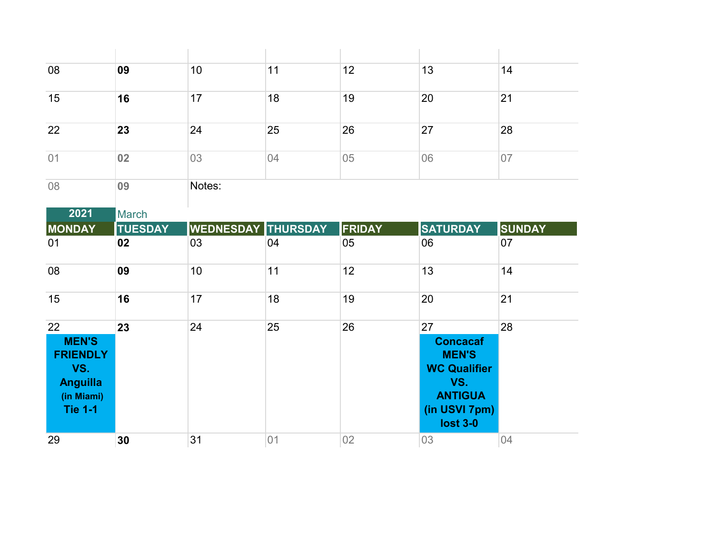| 08                                                                                              | 09             | 10                        | 11 | 12            | 13                                                                                                                        | 14            |
|-------------------------------------------------------------------------------------------------|----------------|---------------------------|----|---------------|---------------------------------------------------------------------------------------------------------------------------|---------------|
| 15                                                                                              | 16             | 17                        | 18 | 19            | 20                                                                                                                        | 21            |
| 22                                                                                              | 23             | 24                        | 25 | 26            | 27                                                                                                                        | 28            |
| 01                                                                                              | 02             | 03                        | 04 | 05            | 06                                                                                                                        | 07            |
| 08                                                                                              | 09             | Notes:                    |    |               |                                                                                                                           |               |
| 2021                                                                                            | <b>March</b>   |                           |    |               |                                                                                                                           |               |
| <b>MONDAY</b>                                                                                   | <b>TUESDAY</b> | <b>WEDNESDAY THURSDAY</b> |    | <b>FRIDAY</b> | <b>SATURDAY</b>                                                                                                           | <b>SUNDAY</b> |
| 01                                                                                              | 02             | 03                        | 04 | 05            | 06                                                                                                                        | 07            |
| 08                                                                                              | 09             | 10                        | 11 | 12            | 13                                                                                                                        | 14            |
| 15                                                                                              | 16             | 17                        | 18 | 19            | 20                                                                                                                        | 21            |
| 22<br><b>MEN'S</b><br><b>FRIENDLY</b><br>VS.<br><b>Anguilla</b><br>(in Miami)<br><b>Tie 1-1</b> | 23             | 24                        | 25 | 26            | 27<br><b>Concacaf</b><br><b>MEN'S</b><br><b>WC Qualifier</b><br>VS.<br><b>ANTIGUA</b><br>(in USVI 7pm)<br><b>lost 3-0</b> | 28            |
| 29                                                                                              | 30             | 31                        | 01 | 02            | 03                                                                                                                        | 04            |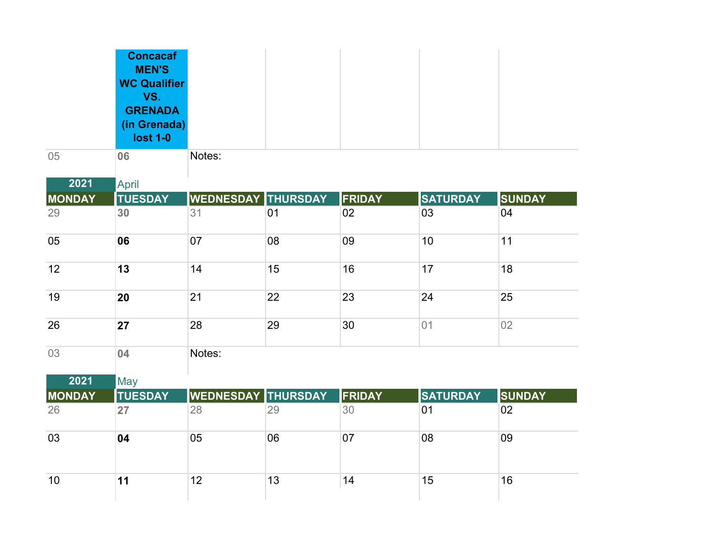|               | <b>Concacaf</b><br><b>MEN'S</b><br><b>WC Qualifier</b><br>VS.<br><b>GRENADA</b><br>(in Grenada)<br><b>lost 1-0</b> |                           |    |               |                 |               |
|---------------|--------------------------------------------------------------------------------------------------------------------|---------------------------|----|---------------|-----------------|---------------|
| 05            | 06                                                                                                                 | Notes:                    |    |               |                 |               |
| 2021          | <b>April</b>                                                                                                       |                           |    |               |                 |               |
| <b>MONDAY</b> | <b>TUESDAY</b>                                                                                                     | <b>WEDNESDAY THURSDAY</b> |    | <b>FRIDAY</b> | <b>SATURDAY</b> | <b>SUNDAY</b> |
| 29            | 30                                                                                                                 | 31                        | 01 | 02            | 03              | 04            |
| 05            | 06                                                                                                                 | 07                        | 08 | 09            | 10              | 11            |
| 12            | 13                                                                                                                 | 14                        | 15 | 16            | 17              | 18            |
| 19            | 20                                                                                                                 | 21                        | 22 | 23            | 24              | 25            |
| 26            | 27                                                                                                                 | 28                        | 29 | 30            | 01              | 02            |
| 03            | 04                                                                                                                 | Notes:                    |    |               |                 |               |
| 2021          | May                                                                                                                |                           |    |               |                 |               |
| <b>MONDAY</b> | <b>TUESDAY</b>                                                                                                     | WEDNESDAY THURSDAY        |    | FRIDAY        | <b>SATURDAY</b> | <b>SUNDAY</b> |
| 26            | 27                                                                                                                 | 28                        | 29 | 30            | 01              | 02            |
| 03            | 04                                                                                                                 | 05                        | 06 | 07            | 08              | 09            |
| 10            | 11                                                                                                                 | 12                        | 13 | 14            | 15              | 16            |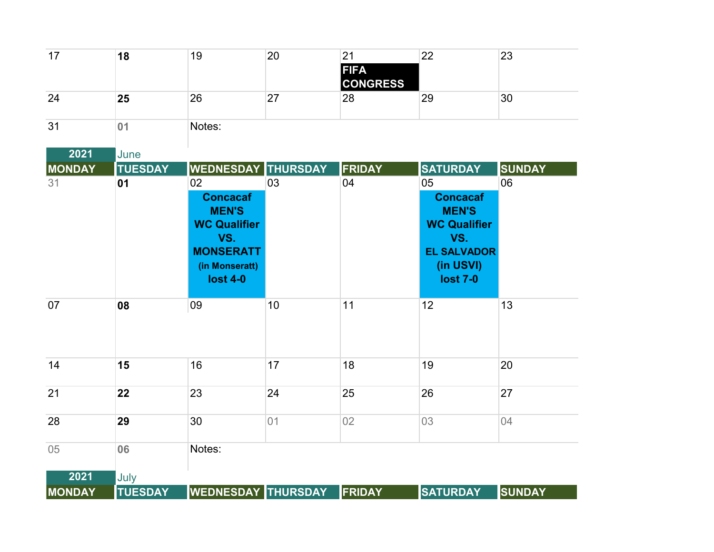| 17            | 18             | 19                                                                                                                           | $\overline{20}$ | 21<br><b>FIFA</b><br><b>CONGRESS</b> | 22                                                                                                                        | 23            |
|---------------|----------------|------------------------------------------------------------------------------------------------------------------------------|-----------------|--------------------------------------|---------------------------------------------------------------------------------------------------------------------------|---------------|
| 24            | 25             | 26                                                                                                                           | 27              | 28                                   | 29                                                                                                                        | 30            |
| 31            | 01             | Notes:                                                                                                                       |                 |                                      |                                                                                                                           |               |
| 2021          | June           |                                                                                                                              |                 |                                      |                                                                                                                           |               |
| <b>MONDAY</b> | <b>TUESDAY</b> | <b>WEDNESDAY THURSDAY</b>                                                                                                    |                 | FRIDAY                               | <b>SATURDAY</b>                                                                                                           | <b>SUNDAY</b> |
| 31            | 01             | 02<br><b>Concacaf</b><br><b>MEN'S</b><br><b>WC Qualifier</b><br>VS.<br><b>MONSERATT</b><br>(in Monseratt)<br><b>lost 4-0</b> | 03              | 04                                   | 05<br><b>Concacaf</b><br><b>MEN'S</b><br><b>WC Qualifier</b><br>VS.<br><b>EL SALVADOR</b><br>(in USVI)<br><b>lost 7-0</b> | 06            |
| 07            | 08             | 09                                                                                                                           | 10              | 11                                   | 12                                                                                                                        | 13            |
| 14            | 15             | 16                                                                                                                           | 17              | 18                                   | 19                                                                                                                        | 20            |
| 21            | 22             | 23                                                                                                                           | 24              | 25                                   | 26                                                                                                                        | 27            |
| 28            | 29             | 30                                                                                                                           | 01              | 02                                   | 03                                                                                                                        | 04            |
| 05            | 06             | Notes:                                                                                                                       |                 |                                      |                                                                                                                           |               |
| 2021          | July           |                                                                                                                              |                 |                                      |                                                                                                                           |               |
| <b>MONDAY</b> | <b>TUESDAY</b> | <b>WEDNESDAY THURSDAY</b>                                                                                                    |                 | FRIDAY                               | <b>SATURDAY</b>                                                                                                           | <b>SUNDAY</b> |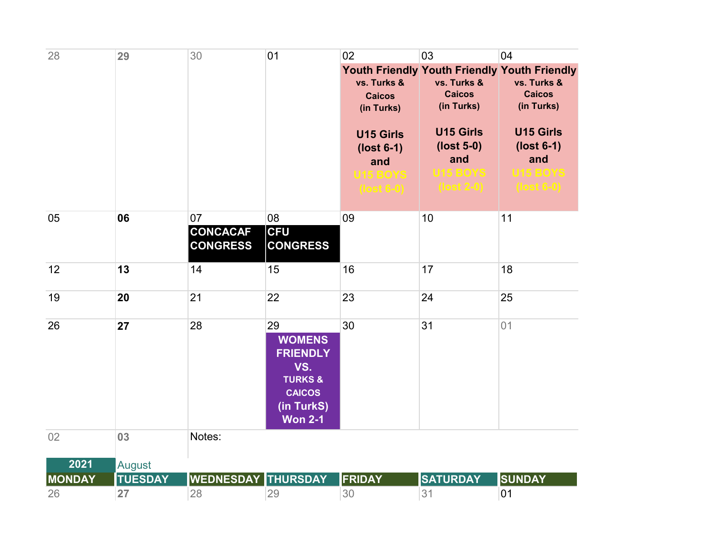| 28            | 29             | 30                        | 01                        | 02               | 03                                  | 04                                                  |
|---------------|----------------|---------------------------|---------------------------|------------------|-------------------------------------|-----------------------------------------------------|
|               |                |                           |                           |                  |                                     | <b>Youth Friendly Youth Friendly Youth Friendly</b> |
|               |                |                           |                           | vs. Turks &      | vs. Turks &                         | vs. Turks &                                         |
|               |                |                           |                           | <b>Caicos</b>    | <b>Caicos</b>                       | <b>Caicos</b>                                       |
|               |                |                           |                           | (in Turks)       | (in Turks)                          | (in Turks)                                          |
|               |                |                           |                           | <b>U15 Girls</b> | <b>U15 Girls</b>                    | <b>U15 Girls</b>                                    |
|               |                |                           |                           | $(lost 6-1)$     | $(lost 5-0)$                        | $(lost 6-1)$                                        |
|               |                |                           |                           | and              | and                                 | and                                                 |
|               |                |                           |                           | <b>U15 BOYS</b>  | <b>U15 BOYS</b>                     | U15 BOYS                                            |
|               |                |                           |                           | $($ lost 6-0)    | $\left( \text{lost } 2 - 0 \right)$ | $($ lost 6-0 $)$                                    |
| 05            | 06             | 07                        | 08                        | 09               | 10                                  | 11                                                  |
|               |                | <b>CONCACAF</b>           | <b>CFU</b>                |                  |                                     |                                                     |
|               |                | <b>CONGRESS</b>           | <b>CONGRESS</b>           |                  |                                     |                                                     |
| 12            | 13             | 14                        | 15                        | 16               | 17                                  | 18                                                  |
| 19            | 20             | 21                        | 22                        | 23               | 24                                  | 25                                                  |
|               |                |                           |                           |                  |                                     |                                                     |
| 26            | 27             | 28                        | 29                        | 30               | 31                                  | 01                                                  |
|               |                |                           | <b>WOMENS</b>             |                  |                                     |                                                     |
|               |                |                           | <b>FRIENDLY</b>           |                  |                                     |                                                     |
|               |                |                           | VS.<br><b>TURKS &amp;</b> |                  |                                     |                                                     |
|               |                |                           | <b>CAICOS</b>             |                  |                                     |                                                     |
|               |                |                           | (in TurkS)                |                  |                                     |                                                     |
|               |                |                           | <b>Won 2-1</b>            |                  |                                     |                                                     |
| 02            | 03             | Notes:                    |                           |                  |                                     |                                                     |
| 2021          | <b>August</b>  |                           |                           |                  |                                     |                                                     |
| <b>MONDAY</b> | <b>TUESDAY</b> | <b>WEDNESDAY THURSDAY</b> |                           | FRIDAY           | <b>SATURDAY</b>                     | <b>SUNDAY</b>                                       |
| 26            | 27             | 28                        | 29                        | 30               | 31                                  | 01                                                  |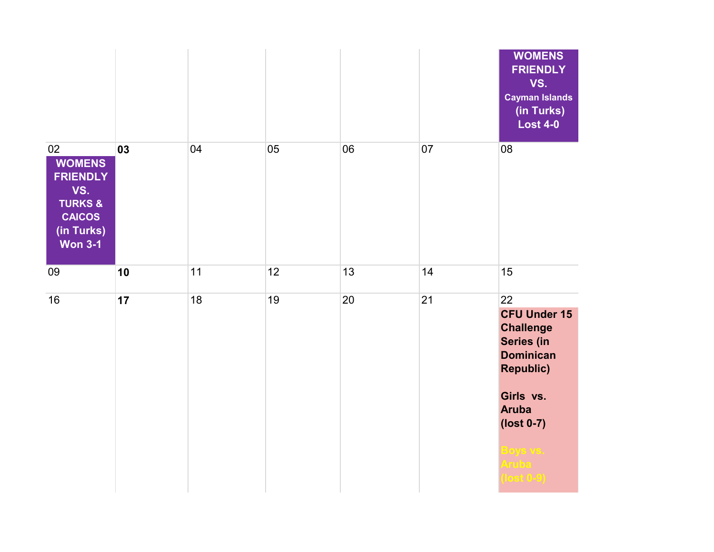|                                                                                                                      |    |    |    |    |    | <b>WOMENS</b><br><b>FRIENDLY</b><br>VS.<br><b>Cayman Islands</b><br>(in Turks)<br><b>Lost 4-0</b>                                                                                               |
|----------------------------------------------------------------------------------------------------------------------|----|----|----|----|----|-------------------------------------------------------------------------------------------------------------------------------------------------------------------------------------------------|
| 02<br><b>WOMENS</b><br><b>FRIENDLY</b><br>VS.<br><b>TURKS &amp;</b><br><b>CAICOS</b><br>(in Turks)<br><b>Won 3-1</b> | 03 | 04 | 05 | 06 | 07 | 08                                                                                                                                                                                              |
| 09                                                                                                                   | 10 | 11 | 12 | 13 | 14 | 15                                                                                                                                                                                              |
| 16                                                                                                                   | 17 | 18 | 19 | 20 | 21 | 22<br><b>CFU Under 15</b><br><b>Challenge</b><br>Series (in<br><b>Dominican</b><br><b>Republic)</b><br>Girls vs.<br><b>Aruba</b><br>(lost 0-7)<br><mark>Boys vs.</mark><br>Aruba<br>$lost(0-9)$ |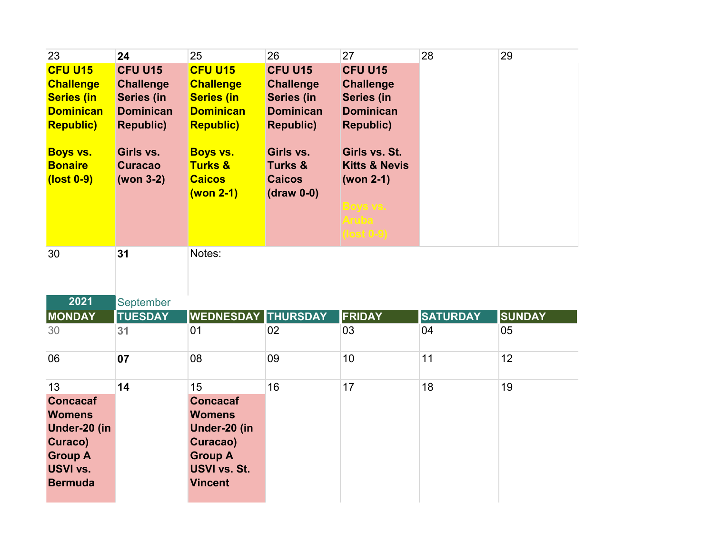| 23                                              | 24                                       | 25                                                                  | 26                                                               | 27                                                                                                    | 28              | 29            |
|-------------------------------------------------|------------------------------------------|---------------------------------------------------------------------|------------------------------------------------------------------|-------------------------------------------------------------------------------------------------------|-----------------|---------------|
| CFU U15                                         | <b>CFU U15</b>                           | <b>CFU U15</b>                                                      | <b>CFU U15</b>                                                   | CFU U15                                                                                               |                 |               |
| <b>Challenge</b>                                | <b>Challenge</b>                         | <b>Challenge</b>                                                    | <b>Challenge</b>                                                 | <b>Challenge</b>                                                                                      |                 |               |
| <b>Series (in</b>                               | Series (in                               | <b>Series (in</b>                                                   | Series (in                                                       | <b>Series (in</b>                                                                                     |                 |               |
| <b>Dominican</b>                                | <b>Dominican</b>                         | <b>Dominican</b>                                                    | <b>Dominican</b>                                                 | <b>Dominican</b>                                                                                      |                 |               |
| <b>Republic)</b>                                | <b>Republic)</b>                         | <b>Republic)</b>                                                    | <b>Republic)</b>                                                 | <b>Republic)</b>                                                                                      |                 |               |
| <b>Boys vs.</b><br><b>Bonaire</b><br>(lost 0-9) | Girls vs.<br><b>Curacao</b><br>(won 3-2) | <b>Boys vs.</b><br><b>Turks &amp;</b><br><b>Caicos</b><br>(won 2-1) | Girls vs.<br><b>Turks &amp;</b><br><b>Caicos</b><br>$(draw 0-0)$ | Girls vs. St.<br><b>Kitts &amp; Nevis</b><br>(won 2-1)<br>Boys vs.<br><b>Aruba</b><br>$($ lost $0-9)$ |                 |               |
| 30                                              | 31                                       | Notes:                                                              |                                                                  |                                                                                                       |                 |               |
| 2021                                            | September                                |                                                                     |                                                                  |                                                                                                       |                 |               |
| <b>MONDAY</b>                                   | <b>TUESDAY</b>                           | <b>WEDNESDAY THURSDAY</b>                                           |                                                                  | <b>FRIDAY</b>                                                                                         | <b>SATURDAY</b> | <b>SUNDAY</b> |
| 30                                              | 31                                       | 01                                                                  | 02                                                               | 03                                                                                                    | 04              | 05            |
|                                                 |                                          |                                                                     |                                                                  |                                                                                                       |                 |               |

| 06              | 07 | 08              | 09 | 10 | 11 | 12 |
|-----------------|----|-----------------|----|----|----|----|
| 13              | 14 | 15              | 16 | 17 | 18 | 19 |
| <b>Concacaf</b> |    | <b>Concacaf</b> |    |    |    |    |
| <b>Womens</b>   |    | <b>Womens</b>   |    |    |    |    |
| Under-20 (in    |    | Under-20 (in    |    |    |    |    |
| Curaco)         |    | Curacao)        |    |    |    |    |
| <b>Group A</b>  |    | <b>Group A</b>  |    |    |    |    |
| <b>USVI vs.</b> |    | USVI vs. St.    |    |    |    |    |
| <b>Bermuda</b>  |    | <b>Vincent</b>  |    |    |    |    |
|                 |    |                 |    |    |    |    |
|                 |    |                 |    |    |    |    |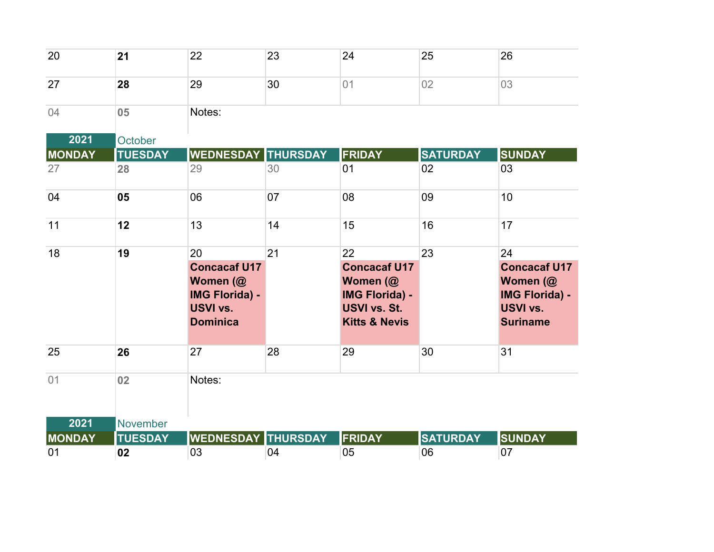| 20            | 21             | 22                                                                                                   | 23 | 24                                                                                                         | 25              | 26                                                                                                   |
|---------------|----------------|------------------------------------------------------------------------------------------------------|----|------------------------------------------------------------------------------------------------------------|-----------------|------------------------------------------------------------------------------------------------------|
| 27            | 28             | 29                                                                                                   | 30 | 01                                                                                                         | 02              | 03                                                                                                   |
| 04            | 05             | Notes:                                                                                               |    |                                                                                                            |                 |                                                                                                      |
| 2021          | October        |                                                                                                      |    |                                                                                                            |                 |                                                                                                      |
| <b>MONDAY</b> | <b>TUESDAY</b> | <b>WEDNESDAY THURSDAY</b>                                                                            |    | <b>FRIDAY</b>                                                                                              | <b>SATURDAY</b> | <b>SUNDAY</b>                                                                                        |
| 27            | 28             | 29                                                                                                   | 30 | 01                                                                                                         | 02              | 03                                                                                                   |
| 04            | 05             | 06                                                                                                   | 07 | 08                                                                                                         | 09              | 10                                                                                                   |
| 11            | 12             | 13                                                                                                   | 14 | 15                                                                                                         | 16              | 17                                                                                                   |
| 18            | 19             | 20<br><b>Concacaf U17</b><br>Women (@<br><b>IMG Florida) -</b><br><b>USVI vs.</b><br><b>Dominica</b> | 21 | 22<br><b>Concacaf U17</b><br>Women (@<br><b>IMG Florida) -</b><br>USVI vs. St.<br><b>Kitts &amp; Nevis</b> | 23              | 24<br><b>Concacaf U17</b><br>Women (@<br><b>IMG Florida) -</b><br><b>USVI vs.</b><br><b>Suriname</b> |
| 25            | 26             | 27                                                                                                   | 28 | 29                                                                                                         | 30              | 31                                                                                                   |
| 01            | 02             | Notes:                                                                                               |    |                                                                                                            |                 |                                                                                                      |
| 2021          | November       |                                                                                                      |    |                                                                                                            |                 |                                                                                                      |
| <b>MONDAY</b> | <b>TUESDAY</b> | <b>WEDNESDAY THURSDAY</b>                                                                            |    | FRIDAY                                                                                                     | <b>SATURDAY</b> | <b>SUNDAY</b>                                                                                        |
| 01            | 02             | 03                                                                                                   | 04 | 05                                                                                                         | 06              | 07                                                                                                   |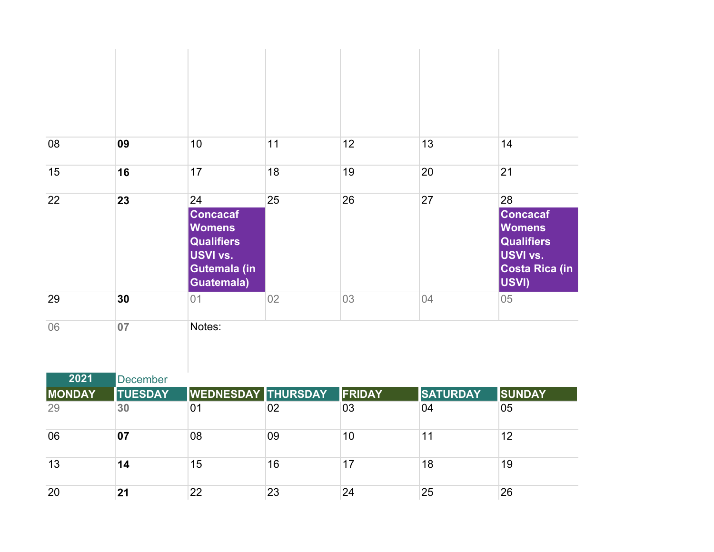| 08                  | 09                   | 10 <sup>1</sup>                                                                                       | 11 | 12                  | 13                    | 14                                                                                                        |
|---------------------|----------------------|-------------------------------------------------------------------------------------------------------|----|---------------------|-----------------------|-----------------------------------------------------------------------------------------------------------|
|                     |                      |                                                                                                       |    |                     |                       |                                                                                                           |
| 15                  | 16                   | 17                                                                                                    | 18 | 19                  | 20                    | 21                                                                                                        |
| 22                  | 23                   | 24<br><b>Concacaf</b><br><b>Womens</b><br><b>Qualifiers</b><br>USVI vs.<br>Gutemala (in<br>Guatemala) | 25 | 26                  | 27                    | 28<br><b>Concacaf</b><br><b>Womens</b><br><b>Qualifiers</b><br><b>USVI vs.</b><br>Costa Rica (in<br>USVI) |
| 29                  | 30                   | 01                                                                                                    | 02 | 03                  | 04                    | 05                                                                                                        |
| 06                  | 07                   | Notes:                                                                                                |    |                     |                       |                                                                                                           |
| 2021                | December             |                                                                                                       |    |                     |                       |                                                                                                           |
| <b>MONDAY</b><br>29 | <b>TUESDAY</b><br>30 | WEDNESDAY THURSDAY<br>01                                                                              | 02 | <b>FRIDAY</b><br>03 | <b>SATURDAY</b><br>04 | <b>SUNDAY</b><br>05                                                                                       |
| 06                  | 07                   | 08                                                                                                    | 09 | 10                  | 11                    | 12                                                                                                        |
| 13                  | 14                   | 15                                                                                                    | 16 | 17                  | 18                    | 19                                                                                                        |
| 20                  | 21                   | 22                                                                                                    | 23 | 24                  | 25                    | 26                                                                                                        |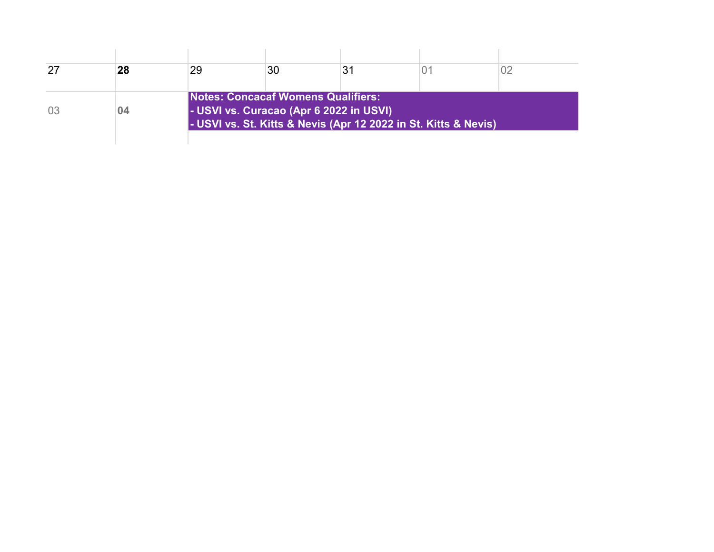| 28 | 29                                                                                   | 30 | 31 |                                                                 |  |
|----|--------------------------------------------------------------------------------------|----|----|-----------------------------------------------------------------|--|
| 04 | <b>Notes: Concacaf Womens Qualifiers:</b><br>- USVI vs. Curacao (Apr 6 2022 in USVI) |    |    | - USVI vs. St. Kitts & Nevis (Apr 12 2022 in St. Kitts & Nevis) |  |